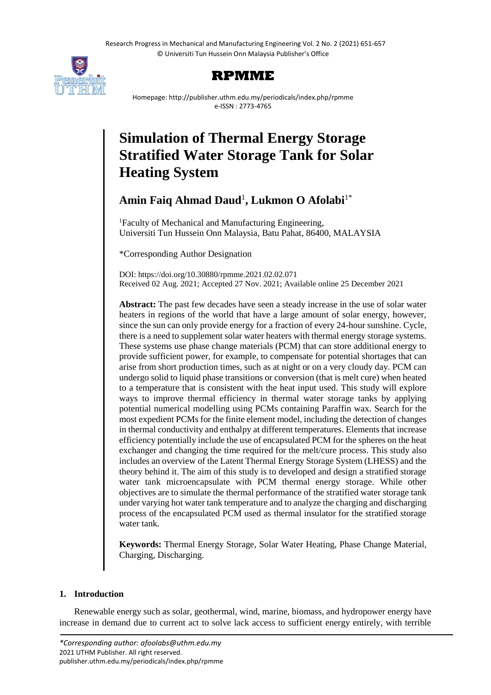Research Progress in Mechanical and Manufacturing Engineering Vol. 2 No. 2 (2021) 651-657 © Universiti Tun Hussein Onn Malaysia Publisher's Office



# **RPMME**

Homepage: http://publisher.uthm.edu.my/periodicals/index.php/rpmme e-ISSN : 2773-4765

# **Simulation of Thermal Energy Storage Stratified Water Storage Tank for Solar Heating System**

# **Amin Faiq Ahmad Daud**<sup>1</sup> **, Lukmon O Afolabi**1\*

<sup>1</sup>Faculty of Mechanical and Manufacturing Engineering, Universiti Tun Hussein Onn Malaysia, Batu Pahat, 86400, MALAYSIA

\*Corresponding Author Designation

DOI: https://doi.org/10.30880/rpmme.2021.02.02.071 Received 02 Aug. 2021; Accepted 27 Nov. 2021; Available online 25 December 2021

**Abstract:** The past few decades have seen a steady increase in the use of solar water heaters in regions of the world that have a large amount of solar energy, however, since the sun can only provide energy for a fraction of every 24-hour sunshine. Cycle, there is a need to supplement solar water heaters with thermal energy storage systems. These systems use phase change materials (PCM) that can store additional energy to provide sufficient power, for example, to compensate for potential shortages that can arise from short production times, such as at night or on a very cloudy day. PCM can undergo solid to liquid phase transitions or conversion (that is melt cure) when heated to a temperature that is consistent with the heat input used. This study will explore ways to improve thermal efficiency in thermal water storage tanks by applying potential numerical modelling using PCMs containing Paraffin wax. Search for the most expedient PCMs for the finite element model, including the detection of changes in thermal conductivity and enthalpy at different temperatures. Elements that increase efficiency potentially include the use of encapsulated PCM for the spheres on the heat exchanger and changing the time required for the melt/cure process. This study also includes an overview of the Latent Thermal Energy Storage System (LHESS) and the theory behind it. The aim of this study is to developed and design a stratified storage water tank microencapsulate with PCM thermal energy storage. While other objectives are to simulate the thermal performance of the stratified water storage tank under varying hot water tank temperature and to analyze the charging and discharging process of the encapsulated PCM used as thermal insulator for the stratified storage water tank.

**Keywords:** Thermal Energy Storage, Solar Water Heating, Phase Change Material, Charging, Discharging.

## **1. Introduction**

Renewable energy such as solar, geothermal, wind, marine, biomass, and hydropower energy have increase in demand due to current act to solve lack access to sufficient energy entirely, with terrible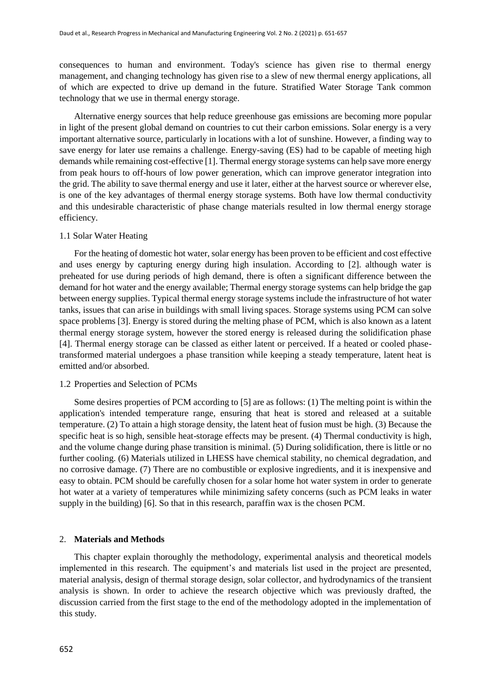consequences to human and environment. Today's science has given rise to thermal energy management, and changing technology has given rise to a slew of new thermal energy applications, all of which are expected to drive up demand in the future. Stratified Water Storage Tank common technology that we use in thermal energy storage.

Alternative energy sources that help reduce greenhouse gas emissions are becoming more popular in light of the present global demand on countries to cut their carbon emissions. Solar energy is a very important alternative source, particularly in locations with a lot of sunshine. However, a finding way to save energy for later use remains a challenge. Energy-saving (ES) had to be capable of meeting high demands while remaining cost-effective [1]. Thermal energy storage systems can help save more energy from peak hours to off-hours of low power generation, which can improve generator integration into the grid. The ability to save thermal energy and use it later, either at the harvest source or wherever else, is one of the key advantages of thermal energy storage systems. Both have low thermal conductivity and this undesirable characteristic of phase change materials resulted in low thermal energy storage efficiency.

#### 1.1 Solar Water Heating

For the heating of domestic hot water, solar energy has been proven to be efficient and cost effective and uses energy by capturing energy during high insulation. According to [2]. although water is preheated for use during periods of high demand, there is often a significant difference between the demand for hot water and the energy available; Thermal energy storage systems can help bridge the gap between energy supplies. Typical thermal energy storage systems include the infrastructure of hot water tanks, issues that can arise in buildings with small living spaces. Storage systems using PCM can solve space problems [3]. Energy is stored during the melting phase of PCM, which is also known as a latent thermal energy storage system, however the stored energy is released during the solidification phase [4]. Thermal energy storage can be classed as either latent or perceived. If a heated or cooled phasetransformed material undergoes a phase transition while keeping a steady temperature, latent heat is emitted and/or absorbed.

#### 1.2 Properties and Selection of PCMs

Some desires properties of PCM according to [5] are as follows: (1) The melting point is within the application's intended temperature range, ensuring that heat is stored and released at a suitable temperature. (2) To attain a high storage density, the latent heat of fusion must be high. (3) Because the specific heat is so high, sensible heat-storage effects may be present. (4) Thermal conductivity is high, and the volume change during phase transition is minimal. (5) During solidification, there is little or no further cooling. (6) Materials utilized in LHESS have chemical stability, no chemical degradation, and no corrosive damage. (7) There are no combustible or explosive ingredients, and it is inexpensive and easy to obtain. PCM should be carefully chosen for a solar home hot water system in order to generate hot water at a variety of temperatures while minimizing safety concerns (such as PCM leaks in water supply in the building) [6]. So that in this research, paraffin wax is the chosen PCM.

#### 2. **Materials and Methods**

This chapter explain thoroughly the methodology, experimental analysis and theoretical models implemented in this research. The equipment's and materials list used in the project are presented, material analysis, design of thermal storage design, solar collector, and hydrodynamics of the transient analysis is shown. In order to achieve the research objective which was previously drafted, the discussion carried from the first stage to the end of the methodology adopted in the implementation of this study.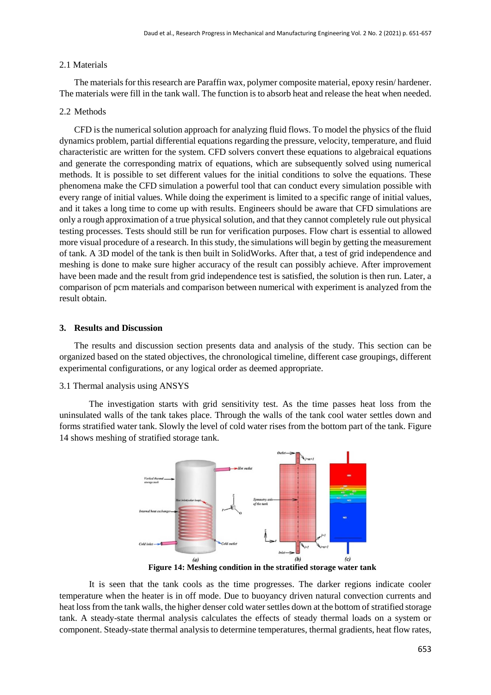#### 2.1 Materials

The materials for this research are Paraffin wax, polymer composite material, epoxy resin/ hardener. The materials were fill in the tank wall. The function is to absorb heat and release the heat when needed.

#### 2.2 Methods

CFD is the numerical solution approach for analyzing fluid flows. To model the physics of the fluid dynamics problem, partial differential equations regarding the pressure, velocity, temperature, and fluid characteristic are written for the system. CFD solvers convert these equations to algebraical equations and generate the corresponding matrix of equations, which are subsequently solved using numerical methods. It is possible to set different values for the initial conditions to solve the equations. These phenomena make the CFD simulation a powerful tool that can conduct every simulation possible with every range of initial values. While doing the experiment is limited to a specific range of initial values, and it takes a long time to come up with results. Engineers should be aware that CFD simulations are only a rough approximation of a true physical solution, and that they cannot completely rule out physical testing processes. Tests should still be run for verification purposes. Flow chart is essential to allowed more visual procedure of a research. In this study, the simulations will begin by getting the measurement of tank. A 3D model of the tank is then built in SolidWorks. After that, a test of grid independence and meshing is done to make sure higher accuracy of the result can possibly achieve. After improvement have been made and the result from grid independence test is satisfied, the solution is then run. Later, a comparison of pcm materials and comparison between numerical with experiment is analyzed from the result obtain.

#### **3. Results and Discussion**

The results and discussion section presents data and analysis of the study. This section can be organized based on the stated objectives, the chronological timeline, different case groupings, different experimental configurations, or any logical order as deemed appropriate.

#### 3.1 Thermal analysis using ANSYS

The investigation starts with grid sensitivity test. As the time passes heat loss from the uninsulated walls of the tank takes place. Through the walls of the tank cool water settles down and forms stratified water tank. Slowly the level of cold water rises from the bottom part of the tank. Figure 14 shows meshing of stratified storage tank.



**Figure 14: Meshing condition in the stratified storage water tank**

It is seen that the tank cools as the time progresses. The darker regions indicate cooler temperature when the heater is in off mode. Due to buoyancy driven natural convection currents and heat loss from the tank walls, the higher denser cold water settles down at the bottom of stratified storage tank. A steady-state thermal analysis calculates the effects of steady thermal loads on a system or component. Steady-state thermal analysis to determine temperatures, thermal gradients, heat flow rates,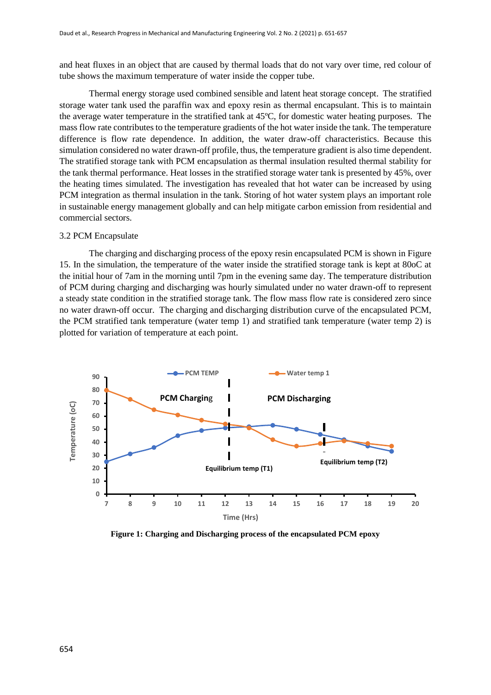and heat fluxes in an object that are caused by thermal loads that do not vary over time, red colour of tube shows the maximum temperature of water inside the copper tube.

Thermal energy storage used combined sensible and latent heat storage concept. The stratified storage water tank used the paraffin wax and epoxy resin as thermal encapsulant. This is to maintain the average water temperature in the stratified tank at 45ºC, for domestic water heating purposes. The mass flow rate contributes to the temperature gradients of the hot water inside the tank. The temperature difference is flow rate dependence. In addition, the water draw-off characteristics. Because this simulation considered no water drawn-off profile, thus, the temperature gradient is also time dependent. The stratified storage tank with PCM encapsulation as thermal insulation resulted thermal stability for the tank thermal performance. Heat losses in the stratified storage water tank is presented by 45%, over the heating times simulated. The investigation has revealed that hot water can be increased by using PCM integration as thermal insulation in the tank. Storing of hot water system plays an important role in sustainable energy management globally and can help mitigate carbon emission from residential and commercial sectors.

#### 3.2 PCM Encapsulate

The charging and discharging process of the epoxy resin encapsulated PCM is shown in Figure 15. In the simulation, the temperature of the water inside the stratified storage tank is kept at 80oC at the initial hour of 7am in the morning until 7pm in the evening same day. The temperature distribution of PCM during charging and discharging was hourly simulated under no water drawn-off to represent a steady state condition in the stratified storage tank. The flow mass flow rate is considered zero since no water drawn-off occur. The charging and discharging distribution curve of the encapsulated PCM, the PCM stratified tank temperature (water temp 1) and stratified tank temperature (water temp 2) is plotted for variation of temperature at each point.



**Figure 1: Charging and Discharging process of the encapsulated PCM epoxy**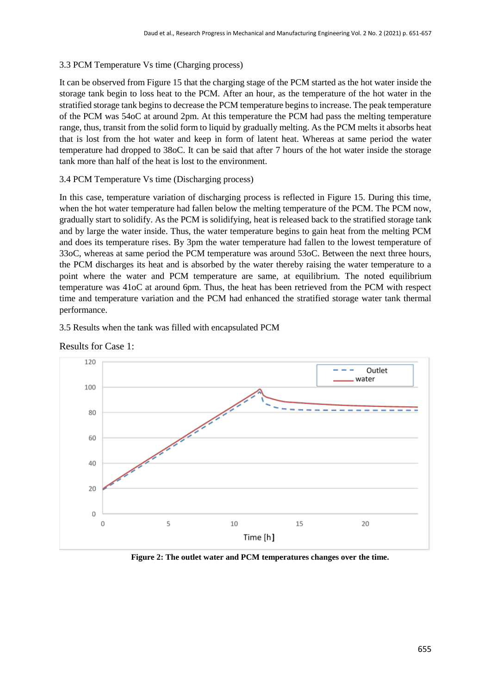# 3.3 PCM Temperature Vs time (Charging process)

It can be observed from Figure 15 that the charging stage of the PCM started as the hot water inside the storage tank begin to loss heat to the PCM. After an hour, as the temperature of the hot water in the stratified storage tank begins to decrease the PCM temperature begins to increase. The peak temperature of the PCM was 54oC at around 2pm. At this temperature the PCM had pass the melting temperature range, thus, transit from the solid form to liquid by gradually melting. As the PCM melts it absorbs heat that is lost from the hot water and keep in form of latent heat. Whereas at same period the water temperature had dropped to 38oC. It can be said that after 7 hours of the hot water inside the storage tank more than half of the heat is lost to the environment.

# 3.4 PCM Temperature Vs time (Discharging process)

In this case, temperature variation of discharging process is reflected in Figure 15. During this time, when the hot water temperature had fallen below the melting temperature of the PCM. The PCM now, gradually start to solidify. As the PCM is solidifying, heat is released back to the stratified storage tank and by large the water inside. Thus, the water temperature begins to gain heat from the melting PCM and does its temperature rises. By 3pm the water temperature had fallen to the lowest temperature of 33oC, whereas at same period the PCM temperature was around 53oC. Between the next three hours, the PCM discharges its heat and is absorbed by the water thereby raising the water temperature to a point where the water and PCM temperature are same, at equilibrium. The noted equilibrium temperature was 41oC at around 6pm. Thus, the heat has been retrieved from the PCM with respect time and temperature variation and the PCM had enhanced the stratified storage water tank thermal performance.

# 3.5 Results when the tank was filled with encapsulated PCM



Results for Case 1:

**Figure 2: The outlet water and PCM temperatures changes over the time.**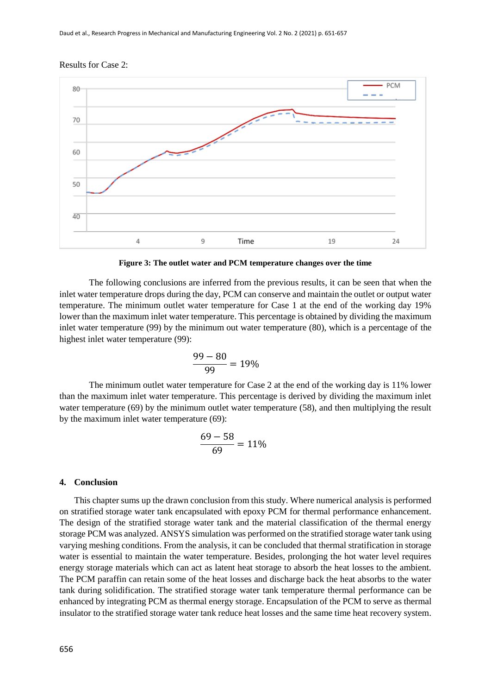#### Results for Case 2:



**Figure 3: The outlet water and PCM temperature changes over the time**

The following conclusions are inferred from the previous results, it can be seen that when the inlet water temperature drops during the day, PCM can conserve and maintain the outlet or output water temperature. The minimum outlet water temperature for Case 1 at the end of the working day 19% lower than the maximum inlet water temperature. This percentage is obtained by dividing the maximum inlet water temperature (99) by the minimum out water temperature (80), which is a percentage of the highest inlet water temperature (99):

$$
\frac{99-80}{99} = 19\%
$$

The minimum outlet water temperature for Case 2 at the end of the working day is 11% lower than the maximum inlet water temperature. This percentage is derived by dividing the maximum inlet water temperature (69) by the minimum outlet water temperature (58), and then multiplying the result by the maximum inlet water temperature (69):

$$
\frac{69-58}{69} = 11\%
$$

#### **4. Conclusion**

This chapter sums up the drawn conclusion from this study. Where numerical analysis is performed on stratified storage water tank encapsulated with epoxy PCM for thermal performance enhancement. The design of the stratified storage water tank and the material classification of the thermal energy storage PCM was analyzed. ANSYS simulation was performed on the stratified storage water tank using varying meshing conditions. From the analysis, it can be concluded that thermal stratification in storage water is essential to maintain the water temperature. Besides, prolonging the hot water level requires energy storage materials which can act as latent heat storage to absorb the heat losses to the ambient. The PCM paraffin can retain some of the heat losses and discharge back the heat absorbs to the water tank during solidification. The stratified storage water tank temperature thermal performance can be enhanced by integrating PCM as thermal energy storage. Encapsulation of the PCM to serve as thermal insulator to the stratified storage water tank reduce heat losses and the same time heat recovery system.